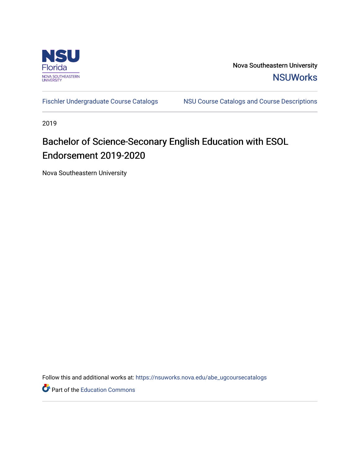

Nova Southeastern University **NSUWorks** 

[Fischler Undergraduate Course Catalogs](https://nsuworks.nova.edu/abe_ugcoursecatalogs) MSU Course Catalogs and Course Descriptions

2019

## Bachelor of Science-Seconary English Education with ESOL Endorsement 2019-2020

Nova Southeastern University

Follow this and additional works at: [https://nsuworks.nova.edu/abe\\_ugcoursecatalogs](https://nsuworks.nova.edu/abe_ugcoursecatalogs?utm_source=nsuworks.nova.edu%2Fabe_ugcoursecatalogs%2F30&utm_medium=PDF&utm_campaign=PDFCoverPages) 

Part of the [Education Commons](http://network.bepress.com/hgg/discipline/784?utm_source=nsuworks.nova.edu%2Fabe_ugcoursecatalogs%2F30&utm_medium=PDF&utm_campaign=PDFCoverPages)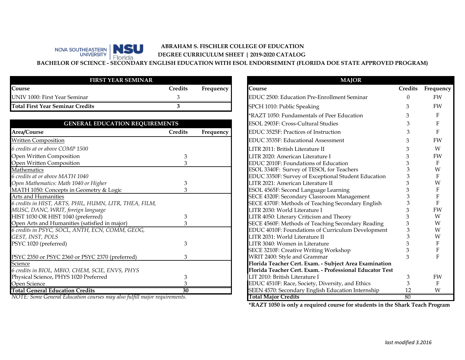## **ABRAHAM S. FISCHLER COLLEGE OF EDUCATION** NSU **DEGREE CURRICULUM SHEET | 2019-2020 CATALOG**  Florida

**BACHELOR OF SCIENCE - SECONDARY ENGLISH EDUCATION WITH ESOL ENDORSEMENT (FLORIDA DOE STATE APPROVED PROGRAM)**

| <b>FIRST YEAR SEMINAR</b>        |                |                  |
|----------------------------------|----------------|------------------|
| Course                           | <b>Credits</b> | <b>Frequency</b> |
| UNIV 1000: First Year Seminar    |                |                  |
| Total First Year Seminar Credits |                |                  |

NOVA SOUTHEASTERN

| <b>GENERAL EDUCATION REQUIREMENTS</b>                  |                |           | ESOL 2903F: Cross-Cultural Studies                       |  |
|--------------------------------------------------------|----------------|-----------|----------------------------------------------------------|--|
| Area/Course                                            | <b>Credits</b> | Frequency | EDUC 3525F: Practices of Instruction                     |  |
| <b>Written Composition</b>                             |                |           | EDUC 3535F: Educational Assessment                       |  |
| 6 credits at or above COMP 1500                        |                |           | LITR 2011: British Literature II                         |  |
| Open Written Composition                               | 3              |           | LITR 2020: American Literature I                         |  |
| Open Written Composition                               |                |           | EDUC 2010F: Foundations of Education                     |  |
| Mathematics                                            |                |           | ESOL 3340F: Survey of TESOL for Teachers                 |  |
| 6 credits at or above MATH 1040                        |                |           | EDUC 3350F: Survey of Exceptional Student Education      |  |
| Open Mathematics: Math 1040 or Higher                  |                |           | LITR 2021: American Literature II                        |  |
| MATH 1050: Concepts in Geometry & Logic                |                |           | ESOL 4565F: Second Language Learning                     |  |
| Arts and Humanities                                    |                |           | SECE 4320F: Secondary Classroom Management               |  |
| 6 credits in HIST, ARTS, PHIL, HUMN, LITR, THEA, FILM, |                |           | SECE 4370F: Methods of Teaching Secondary English        |  |
| MUSC, DANC, WRIT, foreign language                     |                |           | LITR 2030: World Literature I                            |  |
| HIST 1030 OR HIST 1040 (preferred)                     |                |           | LITR 4050: Literary Criticism and Theory                 |  |
| Open Arts and Humanities (satisfied in major)          |                |           | SECE 4560F: Methods of Teaching Secondary Reading        |  |
| 6 credits in PSYC, SOCL, ANTH, ECN, COMM, GEOG,        |                |           | EDUC 4010F: Foundations of Curriculum Development        |  |
| GEST, INST, POLS                                       |                |           | LITR 2031: World Literature II                           |  |
| PSYC 1020 (preferred)                                  |                |           | LITR 3040: Women in Literature                           |  |
|                                                        |                |           | SECE 3210F: Creative Writing Workshop                    |  |
| PSYC 2350 or PSYC 2360 or PSYC 2370 (preferred)        | 3              |           | WRIT 2400: Style and Grammar                             |  |
| Science                                                |                |           | Florida Teacher Cert. Exam. - Subject Area Examination   |  |
| 6 credits in BIOL, MBIO, CHEM, SCIE, ENVS, PHYS        |                |           | Florida Teacher Cert. Exam. - Professional Educator Test |  |
| Physical Science, PHYS 1020 Preferred                  |                |           | LIT 2010: British Literature I                           |  |
| Open Science                                           |                |           | EDUC 4510F: Race, Society, Diversity, and Ethics         |  |
| <b>Total General Education Credits</b>                 | 30             |           | SEEN 4570: Secondary English Education Internship        |  |

*NOTE: Some General Education courses may also fulfill major requirements.*

|                              |           | <b>MAJOR</b>                                             |                |                  |
|------------------------------|-----------|----------------------------------------------------------|----------------|------------------|
| .<br>S                       | Frequency | Course                                                   | <b>Credits</b> | Frequency        |
|                              |           | EDUC 2500: Education Pre-Enrollment Seminar              | 0              | <b>FW</b>        |
|                              |           | SPCH 1010: Public Speaking                               | 3              | <b>FW</b>        |
|                              |           | *RAZT 1050: Fundamentals of Peer Education               | 3              | F                |
|                              |           | ESOL 2903F: Cross-Cultural Studies                       | 3              | F                |
| .<br>S                       | Frequency | EDUC 3525F: Practices of Instruction                     | 3              | F                |
|                              |           | EDUC 3535F: Educational Assessment                       | 3              | <b>FW</b>        |
|                              |           | LITR 2011: British Literature II                         | 3              | W                |
| 3                            |           | LITR 2020: American Literature I                         | 3              | FW               |
| 3                            |           | EDUC 2010F: Foundations of Education                     | 3              | F                |
|                              |           | ESOL 3340F: Survey of TESOL for Teachers                 | 3              | W                |
|                              |           | EDUC 3350F: Survey of Exceptional Student Education      | 3              | $\mathbf{F}$     |
| 3                            |           | LITR 2021: American Literature II                        | 3              | W                |
|                              |           | ESOL 4565F: Second Language Learning                     | 3              | $\mathbf{F}$     |
|                              |           | SECE 4320F: Secondary Classroom Management               | 3              | $\mathbf{F}$     |
|                              |           | SECE 4370F: Methods of Teaching Secondary English        | 3              | $\mathbf{F}$     |
|                              |           | LITR 2030: World Literature I                            | 3              | FW               |
| 3                            |           | LITR 4050: Literary Criticism and Theory                 | 3              | W                |
| 3                            |           | SECE 4560F: Methods of Teaching Secondary Reading        | 3              | W                |
|                              |           | EDUC 4010F: Foundations of Curriculum Development        | 3              | W                |
|                              |           | LITR 2031: World Literature II                           | 3              | W                |
| 3                            |           | LITR 3040: Women in Literature                           | 3              | $\boldsymbol{F}$ |
|                              |           | SECE 3210F: Creative Writing Workshop                    | 3              | ${\bf F}$        |
| 3                            |           | WRIT 2400: Style and Grammar                             | 3              | $\overline{F}$   |
|                              |           | Florida Teacher Cert. Exam. - Subject Area Examination   |                |                  |
|                              |           | Florida Teacher Cert. Exam. - Professional Educator Test |                |                  |
| 3                            |           | LIT 2010: British Literature I                           | 3              | FW               |
| 3                            |           | EDUC 4510F: Race, Society, Diversity, and Ethics         | 3              | $\mathbf{F}$     |
| $\overline{\boldsymbol{50}}$ |           | SEEN 4570: Secondary English Education Internship        | 12             | W                |
|                              |           | <b>Total Major Credits</b>                               | 80             |                  |

**\*RAZT 1050 is only a required course for students in the Shark Teach Program**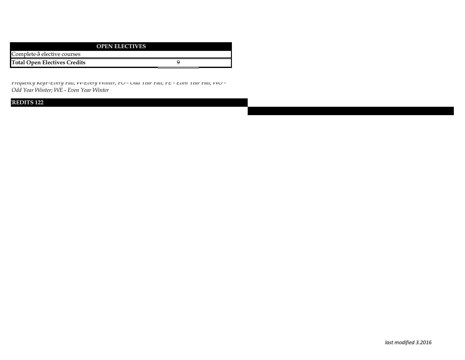|                                     | <b>OPEN ELECTIVES</b> |
|-------------------------------------|-----------------------|
| Complete 3 elective courses         |                       |
| <b>Total Open Electives Credits</b> |                       |

*Frequency KeyF-Every Fall; W-Every Winter; FO - Odd Year Fall; FE - Even Year Fall; WO - Odd Year Winter; WE - Even Year Winter* 

## **CREDITS 122**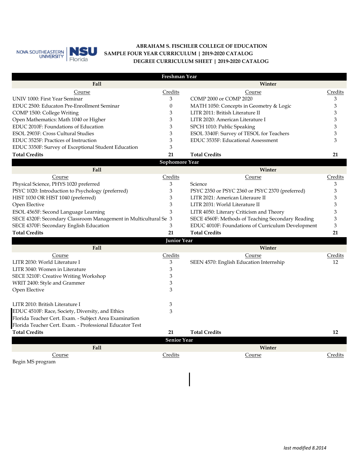

## **ABRAHAM S. FISCHLER COLLEGE OF EDUCATION DEGREE CURRICULUM SHEET | 2019-2020 CATALOG SAMPLE FOUR YEAR CURRICULUM | 2019-2020 CATALOG**

|                                                                  | Freshman Year      |                                                   |         |
|------------------------------------------------------------------|--------------------|---------------------------------------------------|---------|
| Fall                                                             |                    | Winter                                            |         |
| Course                                                           | Credits            | Course                                            | Credits |
| UNIV 1000: First Year Seminar                                    | 3                  | COMP 2000 or COMP 2020                            | 3       |
| EDUC 2500: Educaton Pre-Enrollment Seminar                       | $\boldsymbol{0}$   | MATH 1050: Concepts in Geometry & Logic           | 3       |
| COMP 1500: College Writing                                       | 3                  | LITR 2011: British Literature II                  | 3       |
| Open Mathematics: Math 1040 or Higher                            | 3                  | LITR 2020: American Literature I                  | 3       |
| EDUC 2010F: Foundations of Education                             | 3                  | SPCH 1010: Public Speaking                        | 3       |
| ESOL 2903F: Cross Cultural Studies                               | 3                  | ESOL 3340F: Survey of TESOL for Teachers          | 3       |
| EDUC 3525F: Practices of Instruction                             | 3                  | EDUC 3535F: Educational Assessment                | 3       |
| EDUC 3350F: Survey of Exceptional Student Education              | 3                  |                                                   |         |
| <b>Total Credits</b>                                             | 21                 | <b>Total Credits</b>                              | 21      |
|                                                                  | Sophomore Year     |                                                   |         |
| <b>Fall</b>                                                      |                    | Winter                                            |         |
| Course                                                           | <b>Credits</b>     | Course                                            | Credits |
| Physical Science, PHYS 1020 preferred                            | 3                  | Science                                           | 3       |
| PSYC 1020: Introduction to Psychology (preferred)                | 3                  | PSYC 2350 or PSYC 2360 or PSYC 2370 (preferred)   | 3       |
| HIST 1030 OR HIST 1040 (preferred)                               | 3                  | LITR 2021: American Literaure II                  | 3       |
| Open Elective                                                    | 3                  | LITR 2031: World Literature II                    | 3       |
| ESOL 4565F: Second Language Learning                             | 3                  | LITR 4050: Literary Criticism and Theory          | 3       |
| SECE 4320F: Secondary Classroom Management in Multicultural Se 3 |                    | SECE 4560F: Methods of Teaching Secondary Reading | 3       |
| SECE 4370F: Secondary English Education                          | 3                  | EDUC 4010F: Foundations of Curriculum Development | 3       |
| <b>Total Credits</b>                                             | 21                 | <b>Total Credits</b>                              | 21      |
|                                                                  | Junior Year        |                                                   |         |
| Fall                                                             |                    | Winter                                            |         |
| Course                                                           | Credits            | Course                                            | Credits |
| LITR 2030: World Literature I                                    | 3                  | SEEN 4570: English Education Internship           | 12      |
| LITR 3040: Women in Literature                                   | 3                  |                                                   |         |
| SECE 3210F: Creative Writing Workshop                            | 3                  |                                                   |         |
| WRIT 2400: Style and Grammer                                     | 3                  |                                                   |         |
| Open Elective                                                    | 3                  |                                                   |         |
| LITR 2010: British Literature I                                  | 3                  |                                                   |         |
| EDUC 4510F: Race, Society, Diversity, and Ethics                 | 3                  |                                                   |         |
| Florida Teacher Cert. Exam. - Subject Area Examination           |                    |                                                   |         |
| Florida Teacher Cert. Exam. - Professional Educator Test         |                    |                                                   |         |
| <b>Total Credits</b>                                             | 21                 | <b>Total Credits</b>                              | 12      |
|                                                                  | <b>Senior Year</b> |                                                   |         |
| Fall                                                             |                    | Winter                                            |         |
| Course                                                           | Credits            | Course                                            | Credits |
| Begin MS program                                                 |                    |                                                   |         |
|                                                                  |                    |                                                   |         |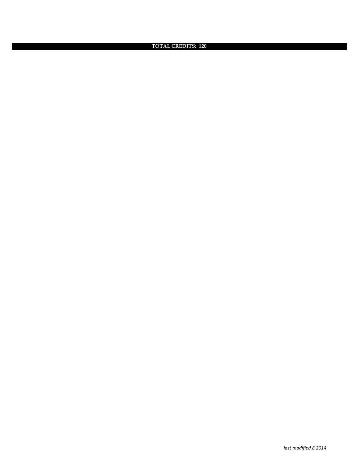**TOTAL CREDITS: 120**